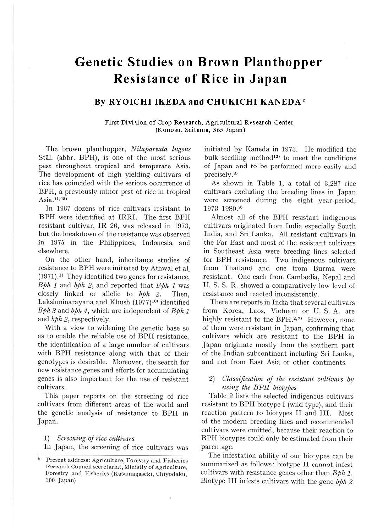# **Genetic Studies on Brown Planthopper Resistance of Rice in Japan**

# **By RYOICHI IKEDA and CHUKICHI KANEDA\***

### **First Division of Crop Research, Agricultural Research Center (Konosu, Saitama, 365 Japan)**

The brown planthopper, *Nilaparvata lugens*  Stal. (abbr. BPH), is one of the most serious pest throughout tropical and temperate Asia. The development of high yielding cultivars of rice has coincided with the serious occurrence of BPH, a previously minor pest of rice in tropical Asia.<sup>11,13)</sup>

In 1967 dozens of rice cultivars resistant to BPH were identified at IRRI. The first BPH resistant cultivar, IR 26, was released in 1973, but the breakdown of the resistance was observed in 1975 in the Philippines, Indonesia and elsewhere.

On the other hand, inheritance studies of resistance to BPH were initiated by Athwal et al.  $(1971).$ <sup>1)</sup> They identified two genes for resistance, *Bph 1* and *bph 2,* and reported that *Bph I* was closely linked or allelic to *bph 2.* Then, Lakshminarayana and Khush (1977)<sup>10)</sup> identified *Bph 3* and *bph 4,* which are independent of *Bph 1*  and *bph* 2, respectively.

With a view to widening the genetic base so as to enable the reliable use of BPH resistance, the identification of a large number of cultivars with BPH resistance along with that of their genotypes is desirable. Moreover, the search for new resistance genes and efforts for accumulating genes is also important for the use of resistant cultivars.

This paper reports on the screening of rice cultivars from different areas of the world and the genetic analysis of resistance to BPH in Japan.

## l) *Screening of rice ciiltivars*

In Japan, the screening of rice cultivars was

initiated by Kaneda in 1973. He modified the bulk seedling method<sup>12)</sup> to meet the conditions of Japan and to be performed more easily and precisely.8>

As shown in Table 1, a total of 3,287 rice cultivars excluding the breeding lines in Japan were screened during the eight year-period, 1973-1980.9)

Almost all of the BPH resistant indigenous cultivars originated from India especially South India, and Sri Lanka. All resistant cultivars in the Far East and most of the resistant cultivars in Southeast Asia were breeding lines selected for BPH resistance. Two indigenous cultivars from Thailand and one from Burma were resistant. One each from Cambodia, Nepal and U. S. S. R. showed a comparatively low level of resistance and reacted inconsistently.

There are reports in India that several cultivars from Korea, Laos, Vietnam or U. S. A. are highly resistant to the BPH. $2,7$  However, none of them were resistant in Japan, confirming that cultivars which are resistant to the BPH in Japan originate mostly from the southern part of the Indian subcontinent including Sri Lanka, and not from East Asia or other continents.

# 2) *Classification of the resistant cultivars by using the BPH biotypes*

Table 2 lists the selected indigenous cultivars resistant to BPH biotype I (wild type), and their reaction pattern to biotypes II and III. Most of the modern breeding lines and recommended cultivars were omitted, because their reaction to BPH biotypes could only be estimated from their parentage.

The infestation ability of our biotypes can be summarized as follows: biotype II cannot infest cultivars with resistance genes other than *Bph 1*. Biotype III infests cultivars with the gene *bph 2* 

Present address: Agriculture, Forestry and Fisheries Research Council secretariat, Ministiy of Agriculture, Forestry and Fisheries (Kasumagaseki, Chiyodaku, 100 Japan)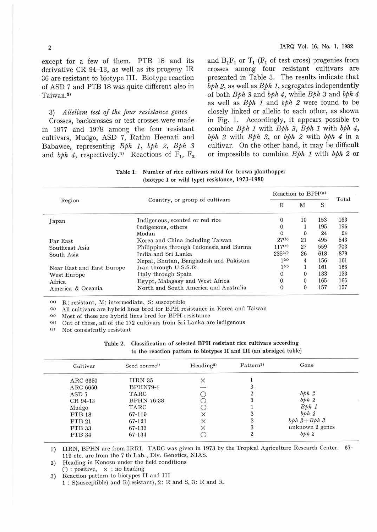JARQ Vol. 16, No. **l,** 1982

except for a few of them. PTB 18 and its derivative  $CR$  94-13, as well as its progeny IR 36 are resistant to biotype III. Biotype reaction of ASD 7 and PTB 18 was quite different also in Taiwan.31

3) *Atlelism test of the four resistance genes* 

Crosses, backcrosses or test crosses were made in 1977 and 1918 among the four resistant cultivars, Mudgo, ASD 7, Rathu Heenati and Babawee, representing Bph 1, bph 2, Bph 3 and  $b\phi h$  4, respectively.<sup>41</sup> Reactions of  $F_1$ ,  $F_2$  and  $B_1F_1$  or  $T_1$  ( $F_1$  of test cross) progenies from crosses among four resistant cultivars are presented in Table 3. The results indicate that  $bph 2$ , as well as  $Bph 1$ , segregates independently of both  $B\phi h$  3 and  $b\phi h$  4, while  $B\phi h$  3 and  $b\phi h$  4 as well as  $Bph$  1 and  $bph$  2 were found to be closely linked or allelic to each other, as shown in Fig. l. Accordingly, it appears possible to combine  $Bph 1$  with  $Bph 3$ ,  $Bph 1$  with  $bph 4$ ,  $bph$  2 with  $Bph$  3, or  $bph$  2 with  $bph$  4 in a cultivar. On the other hand, it may be difficult or impossible to combine  $Bph 1$  with  $bph 2$  or

Table 1. Number of rice cultivars rated for brown planthopper (biotype I or wild type) resistance, 1973-1980

| Region                    |                                         | Reaction to BPH(a) |    |     |       |
|---------------------------|-----------------------------------------|--------------------|----|-----|-------|
|                           | Country, or group of cultivars          | R                  | M  | S   | Total |
| Japan                     | Indigenous, scented or red rice         | $\Omega$           | 10 | 153 | 163   |
|                           | Indigenous, others                      |                    |    | 195 | 196   |
|                           | Modan                                   |                    | 0  | 24  | 24    |
| Far East                  | Korea and China including Taiwan        | $27^{(b)}$         | 21 | 495 | 543   |
| Southeast Asia            | Philippines through Indonesia and Burma | 117 <sup>(c)</sup> | 27 | 559 | 703   |
| South Asia                | India and Sri Lanka                     | $235^{(d)}$        | 26 | 618 | 879   |
|                           | Nepal, Bhutan, Bangladesh and Pakistan  | 1(e)               | 4  | 156 | 161   |
| Near East and East Europe | Iran through U.S.S.R.                   | 1 <sup>(e)</sup>   |    | 161 | 163   |
| West Europe               | Italy through Spain                     | $\mathbf{0}$       | 0  | 133 | 133   |
| Africa                    | Egypt, Malagasy and West Africa         | $\overline{0}$     | 0  | 165 | 165   |
| America & Oceania         | North and South America and Australia   | $\Omega$           | 0  | 157 | 157   |

<•> R: resistant, M: intermediate, S: susceptible

 $(b)$  All cultivars are hybrid lines bred for BPH resistance in Korea and Taiwan

 $\langle \cdot \rangle$  Most of these are hybrid lines bred for BPH resistance

(d) Out of these, all of the 172 cultivars from Sri Lanka are indigenous<br>
(d) Not consistently resistant

<<> Not consistently resistant

| Table 2. | Classification of selected BPH resistant rice cultivars according  |
|----------|--------------------------------------------------------------------|
|          | to the reaction pattern to biotypes II and III (an abridged table) |

| Cultivar         | Seed source <sup>1)</sup> | Heading <sup>2</sup> | Pattern <sup>31</sup> | Gene             |  |
|------------------|---------------------------|----------------------|-----------------------|------------------|--|
| ARC 6650         | IIRN 35                   |                      |                       |                  |  |
| ARC 6650         | <b>BPHN79-4</b>           |                      |                       |                  |  |
| ASD <sub>7</sub> | TARC                      |                      |                       | bph <sub>2</sub> |  |
| $CR94-13$        | <b>BPHN 76-38</b>         |                      |                       | bph <sub>2</sub> |  |
| Mudgo            | TARC                      |                      |                       | Bph <sub>1</sub> |  |
| PTB 18           | 67-119                    |                      |                       | bbh2             |  |
| PTB 21           | 67-121                    |                      |                       | bph $2 + Bph 3$  |  |
| PTB 33           | 67-133                    |                      |                       | unknown 2 genes  |  |
| PTB 34           | 67-134                    |                      |                       | bph2             |  |
|                  |                           |                      |                       |                  |  |

1) IIRN, BPHN are from IRR!. TARC was given in 1973 by the Tropical Agriculture Research Center. 67- 119 etc. are from the 7 th Lab., Div. Genetics, NIAS.

2) Heading in Konosu under the field conditions

 $\bigcirc$  : positive,  $\times$  : no heading

3) Reaction pattern to biotypes II and III 1 : S(susceptible) and R(resistant), 2: R and S, 3: R and R.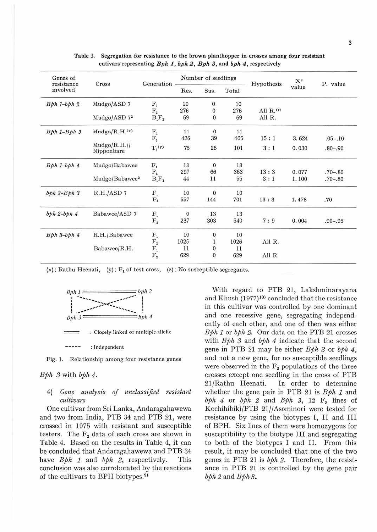| Genes of<br>resistance<br>involved | Cross                         | Generation       | Number of seedlings |              |       |                 | $\mathbf{X}^2$ |             |
|------------------------------------|-------------------------------|------------------|---------------------|--------------|-------|-----------------|----------------|-------------|
|                                    |                               |                  | Res.                | Sus.         | Total | Hypothesis      | value          | P. value    |
| $Bph 1-bph 2$                      | Mudgo/ASD 7                   | $\mathbf{F_{1}}$ | 10                  | $\bf{0}$     | 10    |                 |                |             |
|                                    |                               | $\rm F_2$        | 276                 | $\bf 0$      | 276   | All $R$ . $(2)$ |                |             |
|                                    | Mudgo/ASD 7 <sup>2</sup>      | $B_1F_1$         | 69                  | $\mathbf{0}$ | 69    | All R.          |                |             |
| $Bph 1-Bph 3$                      | Mudgo/R.H. <sup>(x)</sup>     | ${\rm F}_1$      | 11                  | $\mathbf{0}$ | 11    |                 |                |             |
|                                    |                               | $\mathbf{F}_2$   | 426                 | 39           | 465   | 15:1            | 3.624          | $.05 - .10$ |
|                                    | $Mudgo/R.H.$ //<br>Nipponbare | $T_1(y)$         | 75                  | 26           | 101   | 3:1             | 0.030          | $.80 - .90$ |
| $Bph 1-bph 4$                      | Mudgo/Babawee                 | $F_{1}$          | 13                  | $\mathbf{0}$ | 13    |                 |                |             |
|                                    |                               | $\rm F_{2}$      | 297                 | 66           | 363   | 13:3            | 0.077          | $.70 - .80$ |
|                                    | Mudgo/Babawee <sup>2</sup>    | $B_1F_1$         | 44                  | 11           | 55    | 3:1             | 1.100          | $.70 - .80$ |
| $bph 2-Bph 3$                      | R.H./ASD 7                    | $\mathbf{F_{1}}$ | 10                  | 0            | 10    |                 |                |             |
|                                    |                               | $\mathrm{F}_2$   | 557                 | 144          | 701   | 13:3            | 1.478          | .70         |
| $bbhh$ 2-bph $4$                   | Babawee/ASD 7                 | $\mathbf{F_{1}}$ | $\mathbf{0}$        | 13           | 13    |                 |                |             |
|                                    |                               | $\rm F_2$        | 237                 | 303          | 540   | 7:9             | 0.004          | $.90 - .95$ |
| Bph 3-bph 4                        | R.H./Babawee                  | $\mathbf{F_{1}}$ | 10                  | 0            | 10    |                 |                |             |
|                                    |                               | $\rm F_2$        | 1025                |              | 1026  | All R.          |                |             |
|                                    | Babawee/R.H.                  | $\mathbf{F_{1}}$ | 11                  | 0            | 11    |                 |                |             |
|                                    |                               | $\rm F_2$        | 629                 | $\bf{0}$     | 629   | All R.          |                |             |

Table 3. Segregation for resistance to the brown planthopper in crosses among four resistant cutivars representing *Bph I, bph 2, Bph 3,* and *bph 4,* respectively

 $(x)$ ; Rathu Heenati,  $(y)$ ; F<sub>1</sub> of test cross,  $(z)$ ; No susceptible segregants.



: Closely Jinked or multiple allelic  $\qquad \qquad =$ 

------: Independent

Fig. **1.** Relationship among four resistance genes

#### Bph *3* with bplt *4.*

## 4) *Gene analysis of unclassified resistant cultivars*

One cultivar from Sri Lanka, Andaragahawewa and two from India, PTB 34 and PTB 21, were crossed in 1975 with resistant and susceptible testers. The  $F_2$  data of each cross are shown in Table 4. Eased on the results in Table 4, it can be concluded that Andaragahawewa and PTB 34 have  $B\phi h$  1 and  $b\phi h$  2, respectively. This conclusion was also corroborated by the reactions of the cultivars to BPH biotypes.9>

With regard to PTB 21, Lakshminarayana and Khush (1977)<sup>10)</sup> concluded that the resistance in this cultivar was controlled by one dominant and one recessive gene, segregating independently of each other, and one of then was either  $Bph 1$  or  $bph 2$ . Our data on the PTB 21 crosses with  $Bph$  3 and  $bph$  4 indicate that the second gene in PTB 21 may be either Bpli *3* or bph *4,*  and not a new gene, for no susceptible seedlings were observed in the  $F_2$  populations of the three crosses except one seedling in the cross of PTB 21/Rathu Heenati. In order to determine whether the gene pair in PTB 21 is *Bph 1* and  $b$ *ph* 4 or  $b$ *ph* 2 and  $B$ *ph* 3, 12  $F_3$  lines of Kochihibiki/PTB 21//Asominori were tested for resistance by using the biotypes I, II and III of BPH. Six lines of them were homozygous for susceptibility to the biotype III and segregating to both of the biotypes I and II. From this result, it may be concluded that one of the two genes in PTB 21 is  $b\phi h$  2. Therefore, the resistance in PTB 21 is controlled by the gene pair bph 2 and Bph *3.*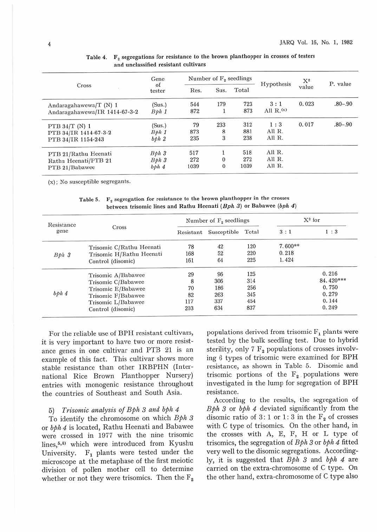|                               | Gene             | Number of $F2$ seedlings |                |       |                       | $X^2$ |             |
|-------------------------------|------------------|--------------------------|----------------|-------|-----------------------|-------|-------------|
| Cross                         | of<br>tester     | Res.                     | Sus.           | Total | Hypothesis            | value | P. value    |
| Andaragahawewa/T (N) 1        | (Sus.)           | 544                      | 179            | 723   | 3:1                   | 0.023 | $.80 - .90$ |
| Andaragahawewa/IR 1414-67-3-2 | Bph1             | 872                      |                | 873   | All $R_{\cdot}$ $(x)$ |       |             |
| PTB $34/T$ (N) 1              | (Sus.)           | 79                       | 233            | 312   | 1:3                   | 0.017 | $.80 - .90$ |
| PTB 34/IR 1414-67-3-2         | Bph1             | 873                      | 8              | 881   | All R.                |       |             |
| PTB 34/IR 1154-243            | bbh2             | 235                      | $\overline{3}$ | 238   | All R.                |       |             |
| PTB 21/Rathu Heenati          | Bph <sub>3</sub> | 517                      |                | 518   | All R.                |       |             |
| Rathu Heenati/PTB 21          | Bph <sub>3</sub> | 272                      | 0              | 272   | All R.                |       |             |
| PTB 21/Babawee                | bbh4             | 1039                     | $\bf{0}$       | 1039  | All R.                |       |             |

Table 4.  $F_2$  segregations for resistance to the brown planthopper in crosses of testers and unclassified resistant cultivars

(x); No susceptible segregants.

| Resistance<br>gene | Cross                    |           | Number of $F_2$ seedlings               | X <sup>2</sup> for |         |           |
|--------------------|--------------------------|-----------|-----------------------------------------|--------------------|---------|-----------|
|                    |                          | Resistant | Susceptible                             | Total              | 3:1     | 1:3       |
|                    | Trisomic C/Rathu Heenati | 78        |                                         | 120                | 7.600** |           |
| Bph <sub>3</sub>   | Trisomic H/Rathu Heenati | 168       | $\begin{array}{c} 42 \\ 52 \end{array}$ | 220                | 0.218   |           |
|                    | Control (disomic)        | 161       | 64                                      | 225                | 1.424   |           |
|                    | Trisomic A/Babawee       | 29        | 96                                      | 125                |         | 0.216     |
|                    | Trisomic C/Babawee       | 8         | 306                                     | 314                |         | 84.420*** |
|                    | Trisomic E/Babawee       | 70        | 186                                     | 256                |         | 0.750     |
| bph <sub>4</sub>   | Trisomic F/Babawee       | 82        | 263                                     | 345                |         | 0.279     |
|                    | Trisomic L/Babawee       | 117       | 337                                     | 454                |         | 0.144     |
|                    | Control (disomic)        | 203       | 634                                     | 837                |         | 0.249     |

Table 5.  $F_2$  segregation for resistance to the brown planthopper in the crosses between trisomic lines and Rathu Heenati ( $Bph 3$ ) or Babawee ( $bph 4$ )

For the reliable use of BPH resistant cultivars, it is very important to have two or more resistance genes in one cultivar and PTB 21 is an example of this fact. This cultivar shows more stable resistance than other IRBPHN (International Rice Brown Planthopper Nursery) entries with monogenic resistance throughout the countries of Southeast and South Asia.

#### 5) *Trisomic analysis of Bpli 3 and* bph *4*

To identify the chromosome on which  $Bph 3$ or bph 4 is located, Rathu Heenati and Babawee were crossed in 1977 with the nine trisomic lines,<sup>5,6)</sup> which were introduced from Kyushu University.  $F_1$  plants were tested under the microscope at the metaphase of the first meiotic division of pollen mother cell to determine whether or not they were trisomics. Then the  $F_2$  populations derived from trisomic  $F_1$  plants were tested by the bulk seedling test. Due to hybrid sterility, only 7  $F_2$  populations of crosses involving 6 types of trisomic were examined for BPH resistance, as shown in Table 5. Disomic and trisomic portions of the  $F_2$  populations were investigated in the lump for segregation of BPH resistance.

According to the results, the segregation of  $Bph 3$  or  $bph 4$  deviated significantly from the disomic ratio of 3:1 or 1:3 in the  $F_2$  of crosses with C type of trisomics. On the other hand, in the crosses with A, E, F, H or L type of trisomics, the segregation of *Bph 3* or *bph 4* fitted very well to the disomic segregations. Accordingly, it is suggested that  $Bph 3$  and  $bph 4$  are carried on the extra-chromosome of C type. On the other hand, extra-chromosome of C type also